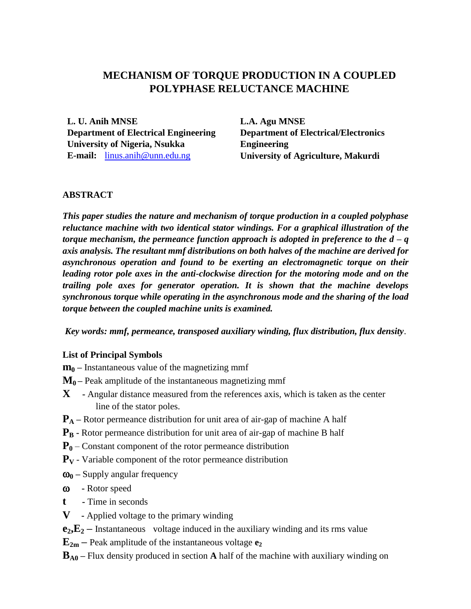# **MECHANISM OF TORQUE PRODUCTION IN A COUPLED POLYPHASE RELUCTANCE MACHINE**

**L. U. Anih MNSE Department of Electrical Engineering University of Nigeria, Nsukka E-mail:** [linus.anih@unn.edu.ng](mailto:luanih@unn-edu.net)

**L.A. Agu MNSE Department of Electrical/Electronics Engineering University of Agriculture, Makurdi**

#### **ABSTRACT**

*This paper studies the nature and mechanism of torque production in a coupled polyphase reluctance machine with two identical stator windings. For a graphical illustration of the torque mechanism, the permeance function approach is adopted in preference to the d – q axis analysis. The resultant mmf distributions on both halves of the machine are derived for asynchronous operation and found to be exerting an electromagnetic torque on their leading rotor pole axes in the anti-clockwise direction for the motoring mode and on the trailing pole axes for generator operation. It is shown that the machine develops synchronous torque while operating in the asynchronous mode and the sharing of the load torque between the coupled machine units is examined.*

*Key words: mmf, permeance, transposed auxiliary winding, flux distribution, flux density*.

#### **List of Principal Symbols**

**m<sup>0</sup> –** Instantaneous value of the magnetizing mmf

- **M<sup>0</sup> –** Peak amplitude of the instantaneous magnetizing mmf
- **X -** Angular distance measured from the references axis, which is taken as the center line of the stator poles.
- **P<sub>A</sub>** Rotor permeance distribution for unit area of air-gap of machine A half
- **P<sup>B</sup> -** Rotor permeance distribution for unit area of air-gap of machine B half
- **P<sup>0</sup>** Constant component of the rotor permeance distribution
- **P<sup>V</sup>** Variable component of the rotor permeance distribution
- **<sup>0</sup> –** Supply angular frequency
- **-** Rotor speed
- **t -** Time in seconds
- **V -** Applied voltage to the primary winding
- $e_2, E_2$  Instantaneous voltage induced in the auxiliary winding and its rms value
- $\mathbf{E}_{2m}$  Peak amplitude of the instantaneous voltage  $\mathbf{e}_2$
- **B**<sub>A0</sub> Flux density produced in section **A** half of the machine with auxiliary winding on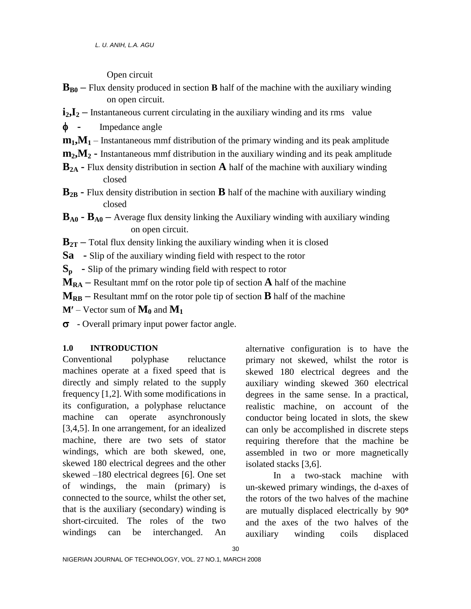Open circuit

- $\mathbf{B}_{B0}$  Flux density produced in section **B** half of the machine with the auxiliary winding on open circuit.
- **i2,I<sup>2</sup> –** Instantaneous current circulating in the auxiliary winding and its rms value
- Impedance angle
- $m_1$ ,  $M_1$  Instantaneous mmf distribution of the primary winding and its peak amplitude
- **m2,M<sup>2</sup> -** Instantaneous mmf distribution in the auxiliary winding and its peak amplitude
- **B2A -** Flux density distribution in section **A** half of the machine with auxiliary winding closed
- **B2B -** Flux density distribution in section **B** half of the machine with auxiliary winding closed
- $B_{A0}$  **-**  $B_{A0}$  Average flux density linking the Auxiliary winding with auxiliary winding on open circuit.
- $B_{2T}$  Total flux density linking the auxiliary winding when it is closed
- **Sa -** Slip of the auxiliary winding field with respect to the rotor
- **Sp -** Slip of the primary winding field with respect to rotor
- $M_{RA}$  Resultant mmf on the rotor pole tip of section **A** half of the machine
- $M_{RB}$  Resultant mmf on the rotor pole tip of section **B** half of the machine
- $M'$  Vector sum of  $M_0$  and  $M_1$
- **-** Overall primary input power factor angle.

## **1.0 INTRODUCTION**

Conventional polyphase reluctance machines operate at a fixed speed that is directly and simply related to the supply frequency [1,2]. With some modifications in its configuration, a polyphase reluctance machine can operate asynchronously [3,4,5]. In one arrangement, for an idealized machine, there are two sets of stator windings, which are both skewed, one, skewed 180 electrical degrees and the other skewed –180 electrical degrees [6]. One set of windings, the main (primary) is connected to the source, whilst the other set, that is the auxiliary (secondary) winding is short-circuited. The roles of the two windings can be interchanged. An

alternative configuration is to have the primary not skewed, whilst the rotor is skewed 180 electrical degrees and the auxiliary winding skewed 360 electrical degrees in the same sense. In a practical, realistic machine, on account of the conductor being located in slots, the skew can only be accomplished in discrete steps requiring therefore that the machine be assembled in two or more magnetically isolated stacks [3,6].

In a two-stack machine with un-skewed primary windings, the d-axes of the rotors of the two halves of the machine are mutually displaced electrically by 90 and the axes of the two halves of the auxiliary winding coils displaced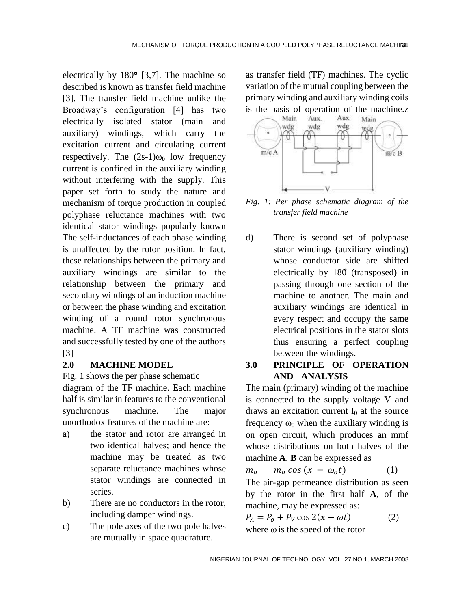electrically by  $180^{\circ}$  [3,7]. The machine so described is known as transfer field machine [3]. The transfer field machine unlike the Broadway's configuration [4] has two electrically isolated stator (main and auxiliary) windings, which carry the excitation current and circulating current respectively. The  $(2s-1)\omega_0$  low frequency current is confined in the auxiliary winding without interfering with the supply. This paper set forth to study the nature and mechanism of torque production in coupled polyphase reluctance machines with two identical stator windings popularly known The self-inductances of each phase winding is unaffected by the rotor position. In fact, these relationships between the primary and auxiliary windings are similar to the relationship between the primary and secondary windings of an induction machine or between the phase winding and excitation winding of a round rotor synchronous machine. A TF machine was constructed and successfully tested by one of the authors [3]

#### **2.0 MACHINE MODEL**

Fig. 1 shows the per phase schematic

diagram of the TF machine. Each machine half is similar in features to the conventional synchronous machine. The major unorthodox features of the machine are:

- a) the stator and rotor are arranged in two identical halves; and hence the machine may be treated as two separate reluctance machines whose stator windings are connected in series.
- b) There are no conductors in the rotor, including damper windings.
- c) The pole axes of the two pole halves are mutually in space quadrature.

as transfer field (TF) machines. The cyclic variation of the mutual coupling between the primary winding and auxiliary winding coils is the basis of operation of the machine. $Z_{\text{Main}}$  Aux. Aux. Main



*Fig. 1: Per phase schematic diagram of the transfer field machine*

d) There is second set of polyphase stator windings (auxiliary winding) whose conductor side are shifted electrically by 180 (transposed) in passing through one section of the machine to another. The main and auxiliary windings are identical in every respect and occupy the same electrical positions in the stator slots thus ensuring a perfect coupling between the windings.

## **3.0 PRINCIPLE OF OPERATION AND ANALYSIS**

The main (primary) winding of the machine is connected to the supply voltage V and draws an excitation current  $I_0$  at the source frequency  $\omega_0$  when the auxiliary winding is on open circuit, which produces an mmf whose distributions on both halves of the machine **A**, **B** can be expressed as

$$
m_o = m_o \cos (x - \omega_o t) \tag{1}
$$

The air-gap permeance distribution as seen by the rotor in the first half **A**, of the machine, may be expressed as:

$$
P_A = P_o + P_V \cos 2(x - \omega t) \tag{2}
$$

where  $\omega$  is the speed of the rotor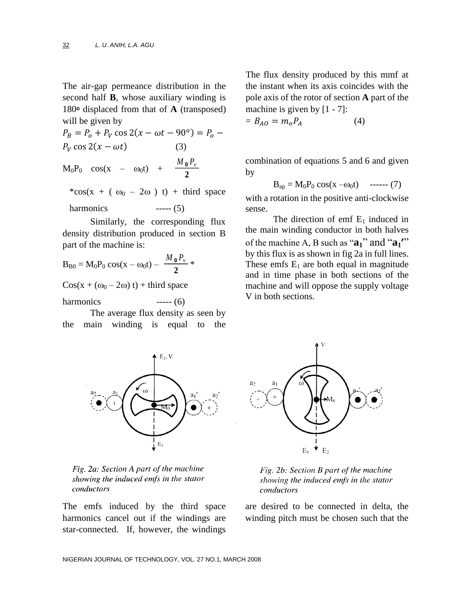The air-gap permeance distribution in the second half **B**, whose auxiliary winding is 180<sup>o</sup> displaced from that of **A** (transposed) will be given by

 $P_B = P_o + P_V \cos 2(x - \omega t - 90^\circ)$  $P_V \cos 2(x - \omega t)$  (3)  $M_0P_0 \cos(x - \omega_0 t) + \frac{M_0 P_v}{2}$ **2**

\*cos(x + ( $\omega_0$  – 2 $\omega$ ) t) + third space harmonics  $---(5)$ 

Similarly, the corresponding flux density distribution produced in section B part of the machine is:

$$
B_{B0} = M_0 P_0 \cos(x - \omega_0 t) - \frac{M_0 P_v}{2} *
$$

 $Cos(x + (\omega_0 - 2\omega) t) + \text{third space}$ 

harmonics  $---(6)$ 

The average flux density as seen by the main winding is equal to the The flux density produced by this mmf at the instant when its axis coincides with the pole axis of the rotor of section **A** part of the machine is given by  $[1 - 7]$ :

$$
= B_{AO} = m_o P_A \tag{4}
$$

combination of equations 5 and 6 and given by

$$
B_{ap} = M_0 P_0 \cos(x - \omega_0 t)
$$
 -----(7)

with a rotation in the positive anti-clockwise sense.

The direction of emf  $E_1$  induced in the main winding conductor in both halves of the machine A, B such as "**a1**" and "**a<sup>1</sup>** " by this flux is as shown in fig 2a in full lines. These emfs  $E_1$  are both equal in magnitude and in time phase in both sections of the machine and will oppose the supply voltage V in both sections.



Fig. 2a: Section A part of the machine showing the induced emfs in the stator conductors

The emfs induced by the third space harmonics cancel out if the windings are star-connected. If, however, the windings



Fig. 2b: Section B part of the machine showing the induced emfs in the stator conductors

are desired to be connected in delta, the winding pitch must be chosen such that the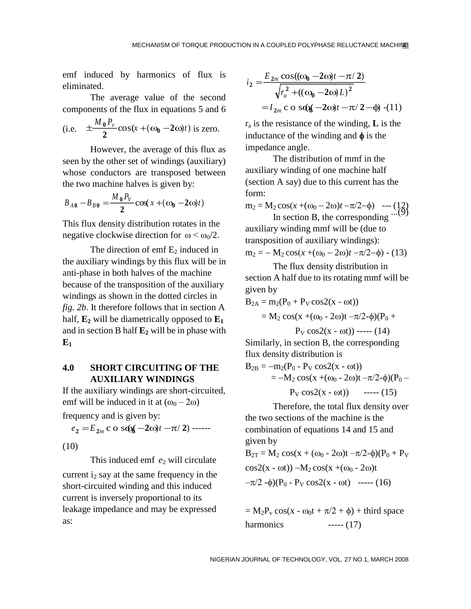emf induced by harmonics of flux is eliminated.

The average value of the second components of the flux in equations 5 and 6

(i.e. 
$$
\pm \frac{M_0 P_v}{2} \cos(x + (\omega_0 - 2\omega)t)
$$
 is zero.

However, the average of this flux as seen by the other set of windings (auxiliary) whose conductors are transposed between the two machine halves is given by:

$$
B_{A0} - B_{B0} = \frac{M_0 P_V}{2} \cos(x + (\omega_0 - 2\omega)t)
$$

This flux density distribution rotates in the negative clockwise direction for  $\omega < \omega_0/2$ .

The direction of emf  $E_2$  induced in the auxiliary windings by this flux will be in anti-phase in both halves of the machine because of the transposition of the auxiliary windings as shown in the dotted circles in *fig. 2b*. It therefore follows that in section A half,  $\mathbf{E}_2$  will be diametrically opposed to  $\mathbf{E}_1$ and in section B half  $\mathbf{E}_2$  will be in phase with  $E_1$ 

#### **4.0 SHORT CIRCUITING OF THE AUXILIARY WINDINGS**

If the auxiliary windings are short-circuited, emf will be induced in it at  $(\omega_0 - 2\omega)$ 

frequency and is given by:

$$
e_2 = E_{2m} \cos \omega (t - 2\omega)t - \pi/2
$$
) ---

(10)

This induced emf  $e_2$  will circulate current  $i<sub>2</sub>$  say at the same frequency in the short-circuited winding and this induced current is inversely proportional to its leakage impedance and may be expressed as:

$$
i_2 = \frac{E_{2m}\cos((\omega_0 - 2\omega)t - \pi/2)}{\sqrt{r_a^2 + ((\omega_0 - 2\omega)L)^2}}
$$
  
=  $I_{2m}$  c o s@(-2 $\omega$ )t -  $\pi$ /2 - $\phi$ ) - (11)

 $r_a$  is the resistance of the winding, **L** is the inductance of the winding and  $\phi$  is the impedance angle.

The distribution of mmf in the auxiliary winding of one machine half (section A say) due to this current has the form:

 $m_2 = M_2 \cos(x + (\omega_0 - 2\omega)t - \pi/2 - \phi) \quad -- (12)$ <br>In section B, the corresponding ...(9)

In section B, the corresponding auxiliary winding mmf will be (due to transposition of auxiliary windings):  $m_2 = -M_2 \cos(x+(\omega_0 - 2\omega)t - \pi/2 - \phi)$  - (13)

The flux density distribution in section A half due to its rotating mmf will be given by

$$
B_{2A} = m_2(P_0 + P_V \cos 2(x - \omega t))
$$

$$
= M_2 \cos(x + (\omega_0 - 2\omega)t - \pi/2 - \phi)(P_0 +
$$

$$
P_V \cos 2(x - \omega t))
$$
 ----(14)

Similarly, in section B, the corresponding flux density distribution is

$$
B_{2B} = -m_2(P_0 - P_V \cos 2(x - \omega t))
$$
  
= -M<sub>2</sub> cos(x +(\omega<sub>0</sub> - 2\omega)t - \pi/2-\phi)(P<sub>0</sub> -  
P<sub>V</sub> cos2(x - \omega t)) \t--- (15)

Therefore, the total flux density over the two sections of the machine is the combination of equations 14 and 15 and given by

$$
B_{2T} = M_2 \cos(x + (\omega_0 - 2\omega)t - \pi/2 - \phi)(P_0 + P_V
$$
  

$$
\cos(2(x - \omega t)) - M_2 \cos(x + (\omega_0 - 2\omega)t
$$
  

$$
-\pi/2 - \phi)(P_0 - P_V \cos(2(x - \omega t))
$$
 ----(16)

 $= M_2P_v \cos(x - \omega_0 t + \pi/2 + \phi) + \text{third space}$ harmonics ----- (17)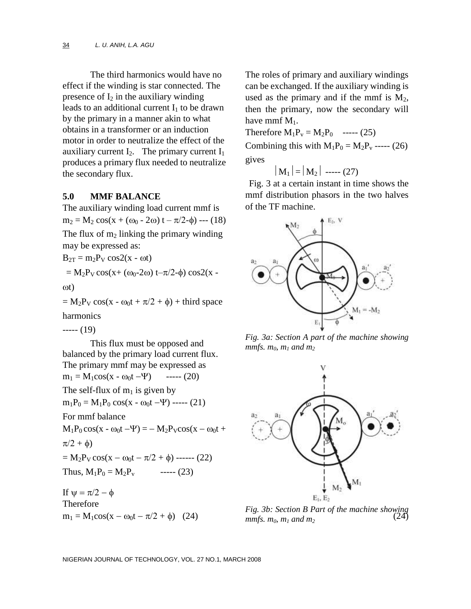The third harmonics would have no effect if the winding is star connected. The presence of  $I_2$  in the auxiliary winding leads to an additional current  $I_1$  to be drawn by the primary in a manner akin to what obtains in a transformer or an induction motor in order to neutralize the effect of the auxiliary current  $I_2$ . The primary current  $I_1$ produces a primary flux needed to neutralize the secondary flux.

#### **5.0 MMF BALANCE**

The auxiliary winding load current mmf is  $m_2 = M_2 \cos(x + (\omega_0 - 2\omega) t - \pi/2 - \phi)$  --- (18) The flux of  $m_2$  linking the primary winding may be expressed as:

$$
B_{2T} = m_2 P_V \cos(2(x - \omega t))
$$
  
= M<sub>2</sub>P<sub>V</sub> cos(x + (\omega<sub>0</sub>-2\omega) t-\pi/2- $\phi$ ) cos2(x -  
  $\omega t$ )

 $= M_2P_V \cos(x - \omega_0 t + \pi/2 + \phi) + \text{third space}$ harmonics

----- (19)

This flux must be opposed and balanced by the primary load current flux. The primary mmf may be expressed as  $m_1 = M_1 \cos(x - \omega_0 t - \Psi)$  ----- (20) The self-flux of  $m_1$  is given by  $m_1P_0 = M_1P_0 \cos(x - \omega_0 t - \Psi)$  ----- (21) For mmf balance  $M_1P_0 \cos(x - \omega_0 t - \Psi) = - M_2P_V \cos(x - \omega_0 t +$  $\pi/2 + \phi$  $= M_2P_V \cos(x - \omega_0 t - \pi/2 + \phi)$  ------ (22) Thus,  $M_1P_0 = M_2P_v$  ----- (23) If  $\psi = \pi/2 - \phi$ Therefore

The roles of primary and auxiliary windings can be exchanged. If the auxiliary winding is used as the primary and if the mmf is  $M_2$ , then the primary, now the secondary will have mmf  $M_1$ .

Therefore  $M_1P_v = M_2P_0$  ----- (25) Combining this with  $M_1P_0 = M_2P_v$  ----- (26) gives

$$
|\mathbf{M}_1| = |\mathbf{M}_2| \ \ \text{---} \ (27)
$$

Fig. 3 at a certain instant in time shows the mmf distribution phasors in the two halves of the TF machine.



*Fig. 3a: Section A part of the machine showing mmfs.*  $m_0$ *,*  $m_1$  *and*  $m_2$ 



 $m_1 = M_1 \cos(x - \omega_0 t - \pi/2 + \phi)$  (24)  $mnfs, m_2, m_1, and m_2$  (24) *Fig. 3b: Section B Part of the machine showing mmfs.*  $m_0$ *,*  $m_1$  *and*  $m_2$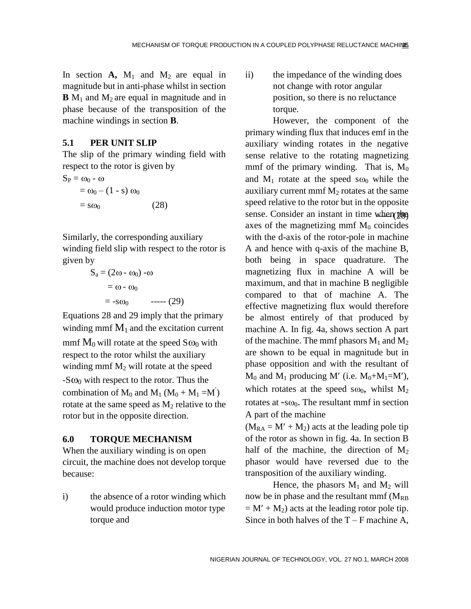In section  $A$ ,  $M_1$  and  $M_2$  are equal in magnitude but in anti-phase whilst in section  $\mathbf{B}$  M<sub>1</sub> and M<sub>2</sub> are equal in magnitude and in phase because of the transposition of the machine windings in section **B**.

### **5.1 PER UNIT SLIP**

The slip of the primary winding field with respect to the rotor is given by

$$
S_P = \omega_0 - \omega
$$
  
=  $\omega_0 - (1 - s) \omega_0$   
=  $s\omega_0$  (28)

Similarly, the corresponding auxiliary winding field slip with respect to the rotor is given by

$$
S_a = (2\omega - \omega_0) - \omega
$$
  
= \omega - \omega\_0  
= -s\omega\_0 \qquad (29)

Equations 28 and 29 imply that the primary winding mmf  $M_1$  and the excitation current mmf  $M_0$  will rotate at the speed  $S\omega_0$  with respect to the rotor whilst the auxiliary winding mmf  $M_2$  will rotate at the speed  $-S\omega_0$  with respect to the rotor. Thus the combination of  $M_0$  and  $M_1$  ( $M_0 + M_1 = M'$ ) rotate at the same speed as  $M_2$  relative to the rotor but in the opposite direction.

#### **6.0 TORQUE MECHANISM**

When the auxiliary winding is on open circuit, the machine does not develop torque because:

i) the absence of a rotor winding which would produce induction motor type torque and

ii) the impedance of the winding does not change with rotor angular position, so there is no reluctance torque.

sense. Consider an instant in time when plgs However, the component of the primary winding flux that induces emf in the auxiliary winding rotates in the negative sense relative to the rotating magnetizing mmf of the primary winding. That is,  $M_0$ and  $M_1$  rotate at the speed s $\omega_0$  while the auxiliary current mmf  $M<sub>2</sub>$  rotates at the same speed relative to the rotor but in the opposite axes of the magnetizing mmf  $M_0$  coincides with the d-axis of the rotor-pole in machine A and hence with q-axis of the machine B, both being in space quadrature. The magnetizing flux in machine A will be maximum, and that in machine B negligible compared to that of machine A. The effective magnetizing flux would therefore be almost entirely of that produced by machine A. In fig. 4a, shows section A part of the machine. The mmf phasors  $M_1$  and  $M_2$ are shown to be equal in magnitude but in phase opposition and with the resultant of  $M_0$  and  $M_1$  producing M' (i.e.  $M_0+M_1=M'$ ), which rotates at the speed s $\omega_0$ , whilst M<sub>2</sub> rotates at  $-s\omega_0$ . The resultant mmf in section A part of the machine

 $(M_{RA} = M' + M_2)$  acts at the leading pole tip of the rotor as shown in fig. 4a. In section B half of the machine, the direction of  $M_2$ phasor would have reversed due to the transposition of the auxiliary winding.

Hence, the phasors  $M_1$  and  $M_2$  will now be in phase and the resultant mmf  $(M_{RB}$  $= M' + M_2$ ) acts at the leading rotor pole tip. Since in both halves of the  $T - F$  machine A,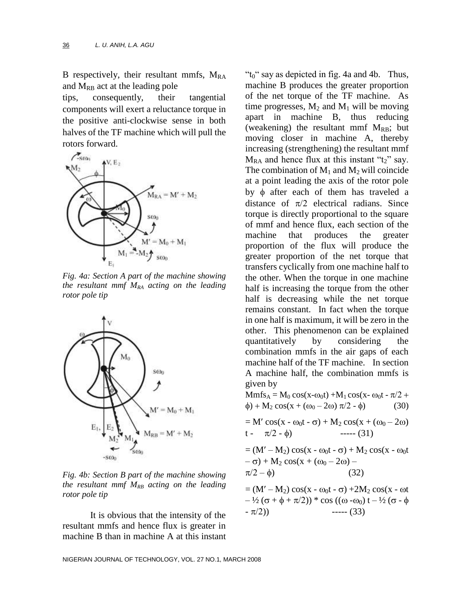B respectively, their resultant mmfs,  $M_{RA}$ and  $M_{RB}$  act at the leading pole

tips, consequently, their tangential components will exert a reluctance torque in the positive anti-clockwise sense in both halves of the TF machine which will pull the rotors forward.



*Fig. 4a: Section A part of the machine showing the resultant mmf MRA acting on the leading rotor pole tip*



*Fig. 4b: Section B part of the machine showing the resultant mmf MRB acting on the leading rotor pole tip*

It is obvious that the intensity of the resultant mmfs and hence flux is greater in machine B than in machine A at this instant " $t<sub>0</sub>$ " say as depicted in fig. 4a and 4b. Thus, machine B produces the greater proportion of the net torque of the TF machine. As time progresses,  $M_2$  and  $M_1$  will be moving apart in machine B, thus reducing (weakening) the resultant mmf  $M_{RB}$ ; but moving closer in machine A, thereby increasing (strengthening) the resultant mmf  $M_{RA}$  and hence flux at this instant " $t_2$ " say. The combination of  $M_1$  and  $M_2$  will coincide at a point leading the axis of the rotor pole by  $\phi$  after each of them has traveled a distance of  $\pi/2$  electrical radians. Since torque is directly proportional to the square of mmf and hence flux, each section of the machine that produces the greater proportion of the flux will produce the greater proportion of the net torque that transfers cyclically from one machine half to the other. When the torque in one machine half is increasing the torque from the other half is decreasing while the net torque remains constant. In fact when the torque in one half is maximum, it will be zero in the other. This phenomenon can be explained quantitatively by considering the combination mmfs in the air gaps of each machine half of the TF machine. In section A machine half, the combination mmfs is given by

 $Mmfs_A = M_0 \cos(x-\omega_0t) + M_1 \cos(x-\omega_0t - \pi/2 +$  $\phi$ ) + M<sub>2</sub> cos(x + (ω<sub>0</sub> – 2ω)  $\pi/2$  -  $\phi$ ) (30)

$$
= M' \cos(x - \omega_0 t - \sigma) + M_2 \cos(x + (\omega_0 - 2\omega))
$$
  
t -  $\pi/2 - \phi$ ) \t---(31)

$$
= (M' - M_2) \cos(x - \omega_0 t - \sigma) + M_2 \cos(x - \omega_0 t - \sigma) + M_2 \cos(x + (\omega_0 - 2\omega) - \pi/2 - \phi)
$$
\n(32)

= 
$$
(M' - M_2) cos(x - \omega_0 t - \sigma) + 2M_2 cos(x - \omega t - 1/2 (\sigma + \phi + \pi/2)) * cos ((\omega - \omega_0) t - 1/2 (\sigma - \phi - \pi/2))
$$
  
----- (33)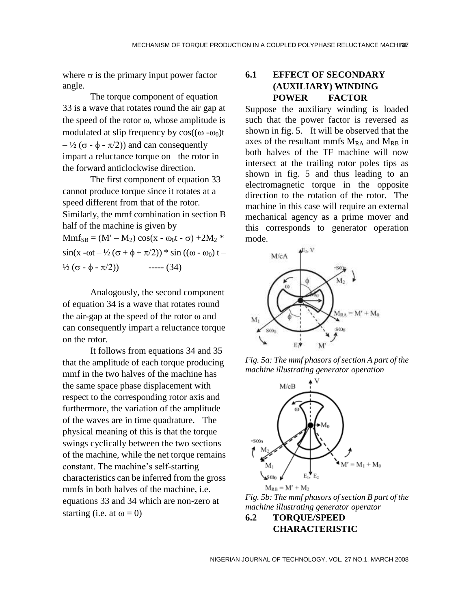where  $\sigma$  is the primary input power factor angle.

The torque component of equation 33 is a wave that rotates round the air gap at the speed of the rotor  $\omega$ , whose amplitude is modulated at slip frequency by  $cos((\omega - \omega_0)t)$  $-\frac{1}{2}$  ( $\sigma$  -  $\phi$  -  $\pi/2$ )) and can consequently impart a reluctance torque on the rotor in the forward anticlockwise direction.

The first component of equation 33 cannot produce torque since it rotates at a speed different from that of the rotor. Similarly, the mmf combination in section B half of the machine is given by  $Mmf_{SB} = (M' - M_2) \cos(x - \omega_0 t - \sigma) + 2M_2$ <sup>\*</sup>  $\sin(x - \omega t - \frac{1}{2} (\sigma + \phi + \pi/2))$  \* sin (( $\omega - \omega_0$ ) t –  $\frac{1}{2} (\sigma - \phi - \pi/2)$  ----- (34)

Analogously, the second component of equation 34 is a wave that rotates round the air-gap at the speed of the rotor  $\omega$  and can consequently impart a reluctance torque on the rotor.

It follows from equations 34 and 35 that the amplitude of each torque producing mmf in the two halves of the machine has the same space phase displacement with respect to the corresponding rotor axis and furthermore, the variation of the amplitude of the waves are in time quadrature. The physical meaning of this is that the torque swings cyclically between the two sections of the machine, while the net torque remains constant. The machine's self-starting characteristics can be inferred from the gross mmfs in both halves of the machine, i.e. equations 33 and 34 which are non-zero at starting (i.e. at  $\omega = 0$ )

## **6.1 EFFECT OF SECONDARY (AUXILIARY) WINDING POWER FACTOR**

Suppose the auxiliary winding is loaded such that the power factor is reversed as shown in fig. 5. It will be observed that the axes of the resultant mmfs  $M_{RA}$  and  $M_{RB}$  in both halves of the TF machine will now intersect at the trailing rotor poles tips as shown in fig. 5 and thus leading to an electromagnetic torque in the opposite direction to the rotation of the rotor. The machine in this case will require an external mechanical agency as a prime mover and this corresponds to generator operation mode.



*Fig. 5a: The mmf phasors of section A part of the machine illustrating generator operation*



 $M_{RB} = M' + M_2$ *Fig. 5b: The mmf phasors of section B part of the machine illustrating generator operator*

**6.2 TORQUE/SPEED CHARACTERISTIC**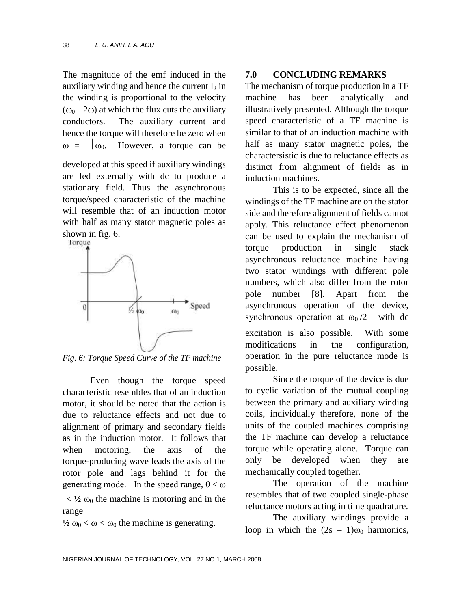The magnitude of the emf induced in the auxiliary winding and hence the current  $I_2$  in the winding is proportional to the velocity  $(\omega_0 - 2\omega)$  at which the flux cuts the auxiliary conductors. The auxiliary current and hence the torque will therefore be zero when  $\omega = \begin{bmatrix} 0 & 0 \\ 0 & 1 \end{bmatrix}$  However, a torque can be

developed at this speed if auxiliary windings are fed externally with dc to produce a stationary field. Thus the asynchronous torque/speed characteristic of the machine will resemble that of an induction motor with half as many stator magnetic poles as shown in fig. 6.



*Fig. 6: Torque Speed Curve of the TF machine*

Even though the torque speed characteristic resembles that of an induction motor, it should be noted that the action is due to reluctance effects and not due to alignment of primary and secondary fields as in the induction motor. It follows that when motoring, the axis of the torque-producing wave leads the axis of the rotor pole and lags behind it for the generating mode. In the speed range,  $0 \le \omega$ 

 $\langle 1/2 \omega_0 \rangle$  the machine is motoring and in the range

 $\frac{1}{2} \omega_0 < \omega < \omega_0$  the machine is generating.

#### **7.0 CONCLUDING REMARKS**

The mechanism of torque production in a TF machine has been analytically and illustratively presented. Although the torque speed characteristic of a TF machine is similar to that of an induction machine with half as many stator magnetic poles, the charactersistic is due to reluctance effects as distinct from alignment of fields as in induction machines.

This is to be expected, since all the windings of the TF machine are on the stator side and therefore alignment of fields cannot apply. This reluctance effect phenomenon can be used to explain the mechanism of torque production in single stack asynchronous reluctance machine having two stator windings with different pole numbers, which also differ from the rotor pole number [8]. Apart from the asynchronous operation of the device, synchronous operation at  $\omega_0/2$  with dc excitation is also possible. With some modifications in the configuration, operation in the pure reluctance mode is possible.

Since the torque of the device is due to cyclic variation of the mutual coupling between the primary and auxiliary winding coils, individually therefore, none of the units of the coupled machines comprising the TF machine can develop a reluctance torque while operating alone. Torque can only be developed when they are mechanically coupled together.

The operation of the machine resembles that of two coupled single-phase reluctance motors acting in time quadrature.

The auxiliary windings provide a loop in which the  $(2s - 1)$ <sub>00</sub> harmonics,